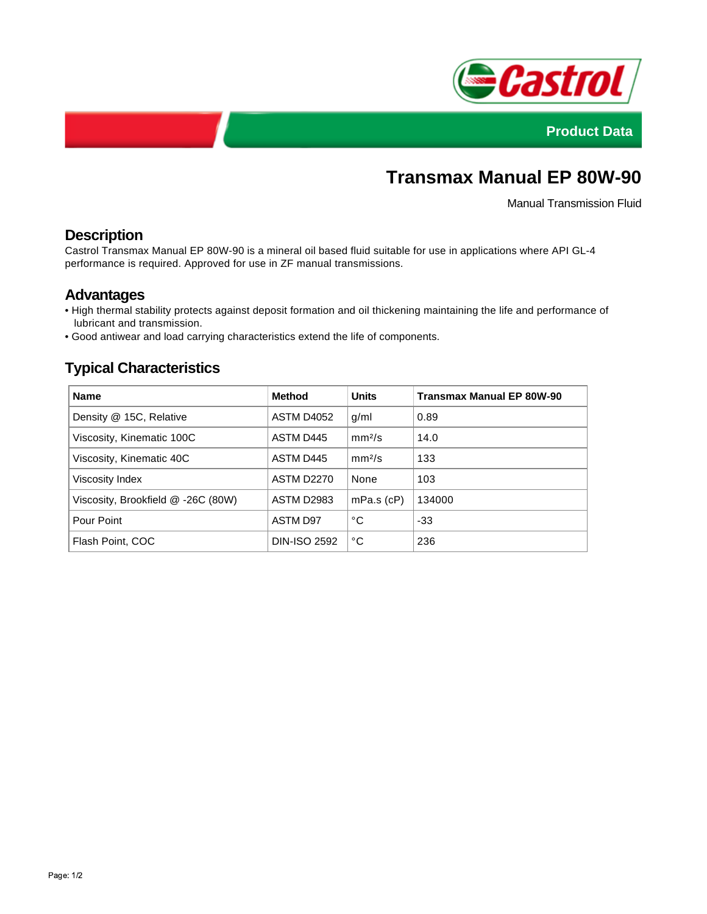



# **Transmax Manual EP 80W-90**

Manual Transmission Fluid

# **Description**

Castrol Transmax Manual EP 80W-90 is a mineral oil based fluid suitable for use in applications where API GL-4 performance is required. Approved for use in ZF manual transmissions.

### **Advantages**

- High thermal stability protects against deposit formation and oil thickening maintaining the life and performance of lubricant and transmission.
- Good antiwear and load carrying characteristics extend the life of components.

# **Typical Characteristics**

| <b>Name</b>                        | <b>Method</b>       | <b>Units</b>       | <b>Transmax Manual EP 80W-90</b> |
|------------------------------------|---------------------|--------------------|----------------------------------|
| Density @ 15C, Relative            | ASTM D4052          | g/ml               | 0.89                             |
| Viscosity, Kinematic 100C          | ASTM D445           | mm <sup>2</sup> /s | 14.0                             |
| Viscosity, Kinematic 40C           | ASTM D445           | mm <sup>2</sup> /s | 133                              |
| Viscosity Index                    | <b>ASTM D2270</b>   | None               | 103                              |
| Viscosity, Brookfield @ -26C (80W) | <b>ASTM D2983</b>   | $mPa.s$ ( $cP$ )   | 134000                           |
| Pour Point                         | ASTM D97            | °C                 | $-33$                            |
| Flash Point, COC                   | <b>DIN-ISO 2592</b> | °C                 | 236                              |